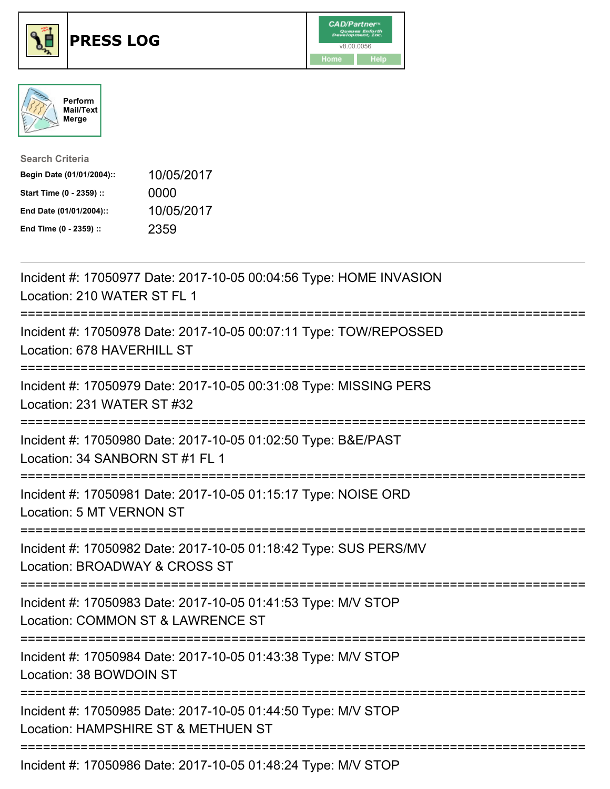





| <b>Search Criteria</b>    |            |
|---------------------------|------------|
| Begin Date (01/01/2004):: | 10/05/2017 |
| Start Time (0 - 2359) ::  | 0000       |
| End Date (01/01/2004)::   | 10/05/2017 |
| End Time (0 - 2359) ::    | 2359       |

| Incident #: 17050977 Date: 2017-10-05 00:04:56 Type: HOME INVASION<br>Location: 210 WATER ST FL 1                              |
|--------------------------------------------------------------------------------------------------------------------------------|
| Incident #: 17050978 Date: 2017-10-05 00:07:11 Type: TOW/REPOSSED<br>Location: 678 HAVERHILL ST                                |
| Incident #: 17050979 Date: 2017-10-05 00:31:08 Type: MISSING PERS<br>Location: 231 WATER ST #32                                |
| Incident #: 17050980 Date: 2017-10-05 01:02:50 Type: B&E/PAST<br>Location: 34 SANBORN ST #1 FL 1                               |
| Incident #: 17050981 Date: 2017-10-05 01:15:17 Type: NOISE ORD<br><b>Location: 5 MT VERNON ST</b>                              |
| Incident #: 17050982 Date: 2017-10-05 01:18:42 Type: SUS PERS/MV<br>Location: BROADWAY & CROSS ST                              |
| Incident #: 17050983 Date: 2017-10-05 01:41:53 Type: M/V STOP<br>Location: COMMON ST & LAWRENCE ST                             |
| Incident #: 17050984 Date: 2017-10-05 01:43:38 Type: M/V STOP<br>Location: 38 BOWDOIN ST<br>---------------------------------- |
| Incident #: 17050985 Date: 2017-10-05 01:44:50 Type: M/V STOP<br>Location: HAMPSHIRE ST & METHUEN ST                           |
| Incident #: 17050986 Date: 2017-10-05 01:48:24 Type: M/V STOP                                                                  |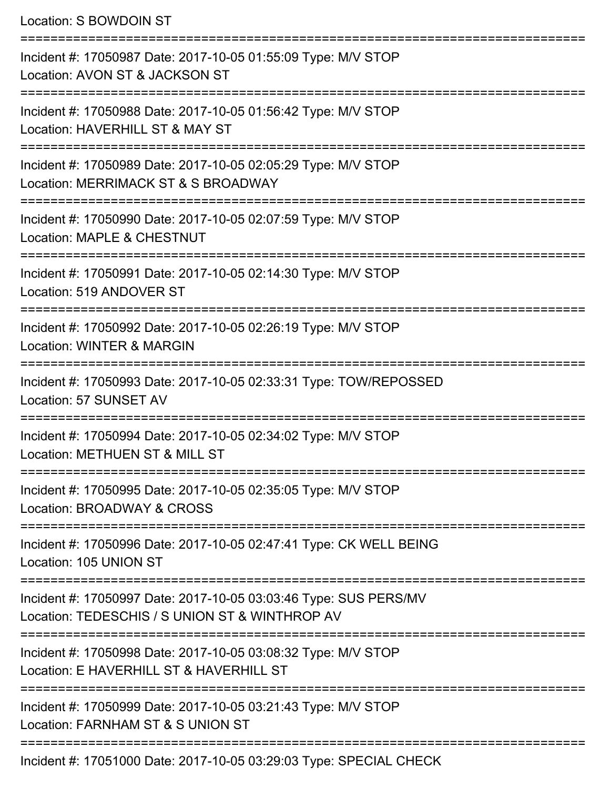Location: S BOWDOIN ST

| Incident #: 17050987 Date: 2017-10-05 01:55:09 Type: M/V STOP<br>Location: AVON ST & JACKSON ST                    |
|--------------------------------------------------------------------------------------------------------------------|
| Incident #: 17050988 Date: 2017-10-05 01:56:42 Type: M/V STOP<br>Location: HAVERHILL ST & MAY ST                   |
| Incident #: 17050989 Date: 2017-10-05 02:05:29 Type: M/V STOP<br>Location: MERRIMACK ST & S BROADWAY               |
| Incident #: 17050990 Date: 2017-10-05 02:07:59 Type: M/V STOP<br>Location: MAPLE & CHESTNUT                        |
| Incident #: 17050991 Date: 2017-10-05 02:14:30 Type: M/V STOP<br>Location: 519 ANDOVER ST                          |
| Incident #: 17050992 Date: 2017-10-05 02:26:19 Type: M/V STOP<br><b>Location: WINTER &amp; MARGIN</b>              |
| Incident #: 17050993 Date: 2017-10-05 02:33:31 Type: TOW/REPOSSED<br>Location: 57 SUNSET AV                        |
| Incident #: 17050994 Date: 2017-10-05 02:34:02 Type: M/V STOP<br>Location: METHUEN ST & MILL ST                    |
| Incident #: 17050995 Date: 2017-10-05 02:35:05 Type: M/V STOP<br>Location: BROADWAY & CROSS                        |
| Incident #: 17050996 Date: 2017-10-05 02:47:41 Type: CK WELL BEING<br>Location: 105 UNION ST                       |
| Incident #: 17050997 Date: 2017-10-05 03:03:46 Type: SUS PERS/MV<br>Location: TEDESCHIS / S UNION ST & WINTHROP AV |
| Incident #: 17050998 Date: 2017-10-05 03:08:32 Type: M/V STOP<br>Location: E HAVERHILL ST & HAVERHILL ST           |
| Incident #: 17050999 Date: 2017-10-05 03:21:43 Type: M/V STOP<br>Location: FARNHAM ST & S UNION ST                 |
| Incident #: 17051000 Date: 2017-10-05 03:29:03 Type: SPECIAL CHECK                                                 |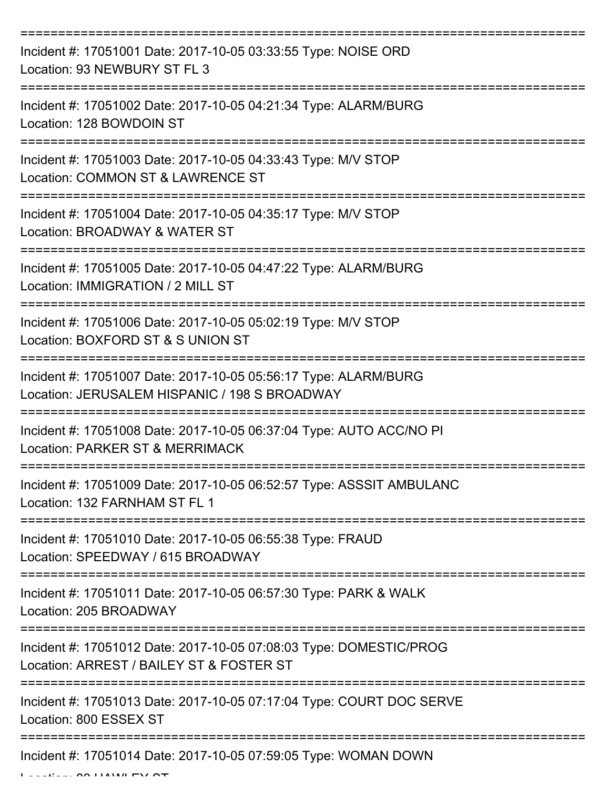| Incident #: 17051001 Date: 2017-10-05 03:33:55 Type: NOISE ORD<br>Location: 93 NEWBURY ST FL 3                   |
|------------------------------------------------------------------------------------------------------------------|
| Incident #: 17051002 Date: 2017-10-05 04:21:34 Type: ALARM/BURG<br>Location: 128 BOWDOIN ST                      |
| Incident #: 17051003 Date: 2017-10-05 04:33:43 Type: M/V STOP<br>Location: COMMON ST & LAWRENCE ST               |
| Incident #: 17051004 Date: 2017-10-05 04:35:17 Type: M/V STOP<br>Location: BROADWAY & WATER ST                   |
| Incident #: 17051005 Date: 2017-10-05 04:47:22 Type: ALARM/BURG<br>Location: IMMIGRATION / 2 MILL ST             |
| Incident #: 17051006 Date: 2017-10-05 05:02:19 Type: M/V STOP<br>Location: BOXFORD ST & S UNION ST               |
| Incident #: 17051007 Date: 2017-10-05 05:56:17 Type: ALARM/BURG<br>Location: JERUSALEM HISPANIC / 198 S BROADWAY |
| Incident #: 17051008 Date: 2017-10-05 06:37:04 Type: AUTO ACC/NO PI<br>Location: PARKER ST & MERRIMACK           |
| Incident #: 17051009 Date: 2017-10-05 06:52:57 Type: ASSSIT AMBULANC<br>Location: 132 FARNHAM ST FL 1            |
| Incident #: 17051010 Date: 2017-10-05 06:55:38 Type: FRAUD<br>Location: SPEEDWAY / 615 BROADWAY                  |
| Incident #: 17051011 Date: 2017-10-05 06:57:30 Type: PARK & WALK<br>Location: 205 BROADWAY                       |
| Incident #: 17051012 Date: 2017-10-05 07:08:03 Type: DOMESTIC/PROG<br>Location: ARREST / BAILEY ST & FOSTER ST   |
| Incident #: 17051013 Date: 2017-10-05 07:17:04 Type: COURT DOC SERVE<br>Location: 800 ESSEX ST                   |
| Incident #: 17051014 Date: 2017-10-05 07:59:05 Type: WOMAN DOWN                                                  |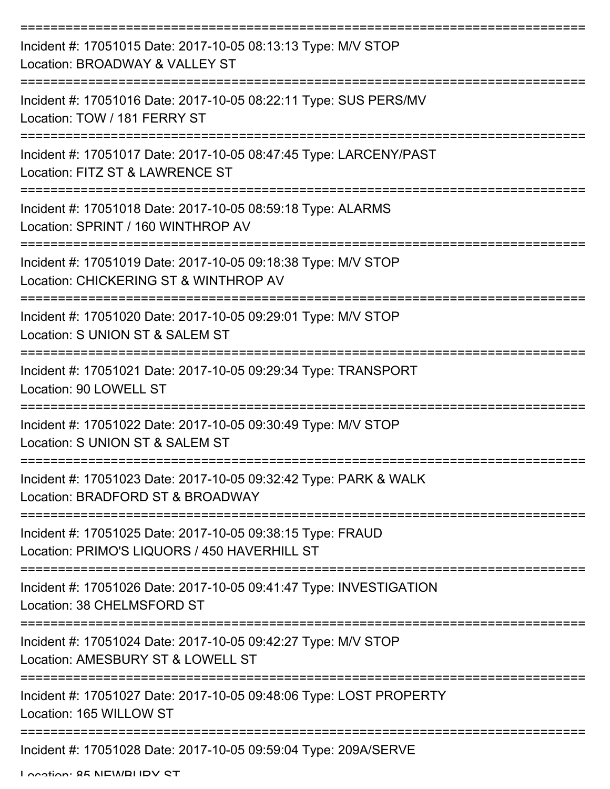| Incident #: 17051015 Date: 2017-10-05 08:13:13 Type: M/V STOP<br>Location: BROADWAY & VALLEY ST            |
|------------------------------------------------------------------------------------------------------------|
| Incident #: 17051016 Date: 2017-10-05 08:22:11 Type: SUS PERS/MV<br>Location: TOW / 181 FERRY ST           |
| Incident #: 17051017 Date: 2017-10-05 08:47:45 Type: LARCENY/PAST<br>Location: FITZ ST & LAWRENCE ST       |
| Incident #: 17051018 Date: 2017-10-05 08:59:18 Type: ALARMS<br>Location: SPRINT / 160 WINTHROP AV          |
| Incident #: 17051019 Date: 2017-10-05 09:18:38 Type: M/V STOP<br>Location: CHICKERING ST & WINTHROP AV     |
| Incident #: 17051020 Date: 2017-10-05 09:29:01 Type: M/V STOP<br>Location: S UNION ST & SALEM ST           |
| Incident #: 17051021 Date: 2017-10-05 09:29:34 Type: TRANSPORT<br>Location: 90 LOWELL ST                   |
| Incident #: 17051022 Date: 2017-10-05 09:30:49 Type: M/V STOP<br>Location: S UNION ST & SALEM ST           |
| Incident #: 17051023 Date: 2017-10-05 09:32:42 Type: PARK & WALK<br>Location: BRADFORD ST & BROADWAY       |
| Incident #: 17051025 Date: 2017-10-05 09:38:15 Type: FRAUD<br>Location: PRIMO'S LIQUORS / 450 HAVERHILL ST |
| Incident #: 17051026 Date: 2017-10-05 09:41:47 Type: INVESTIGATION<br>Location: 38 CHELMSFORD ST           |
| Incident #: 17051024 Date: 2017-10-05 09:42:27 Type: M/V STOP<br>Location: AMESBURY ST & LOWELL ST         |
| Incident #: 17051027 Date: 2017-10-05 09:48:06 Type: LOST PROPERTY<br>Location: 165 WILLOW ST              |
| Incident #: 17051028 Date: 2017-10-05 09:59:04 Type: 209A/SERVE                                            |

Location: 85 NEWBURY ST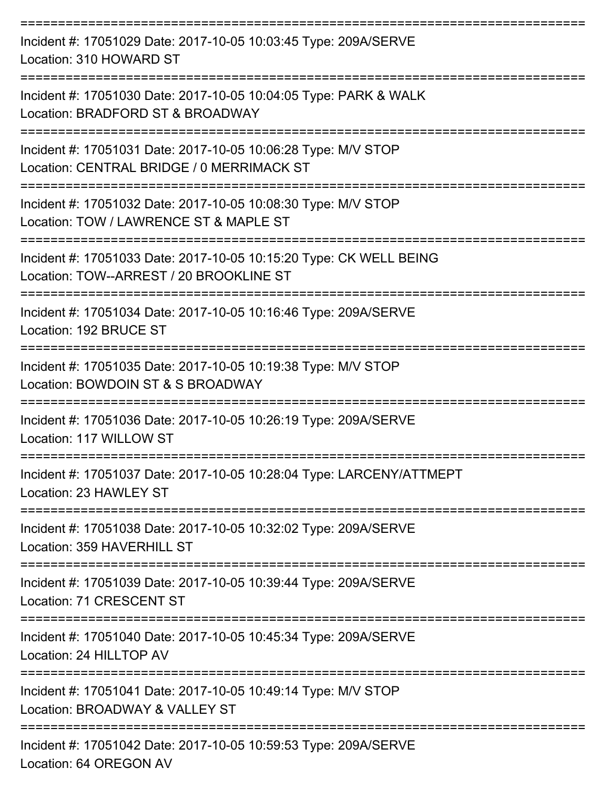| Incident #: 17051029 Date: 2017-10-05 10:03:45 Type: 209A/SERVE<br>Location: 310 HOWARD ST                    |
|---------------------------------------------------------------------------------------------------------------|
| Incident #: 17051030 Date: 2017-10-05 10:04:05 Type: PARK & WALK<br>Location: BRADFORD ST & BROADWAY          |
| Incident #: 17051031 Date: 2017-10-05 10:06:28 Type: M/V STOP<br>Location: CENTRAL BRIDGE / 0 MERRIMACK ST    |
| Incident #: 17051032 Date: 2017-10-05 10:08:30 Type: M/V STOP<br>Location: TOW / LAWRENCE ST & MAPLE ST       |
| Incident #: 17051033 Date: 2017-10-05 10:15:20 Type: CK WELL BEING<br>Location: TOW--ARREST / 20 BROOKLINE ST |
| Incident #: 17051034 Date: 2017-10-05 10:16:46 Type: 209A/SERVE<br>Location: 192 BRUCE ST                     |
| Incident #: 17051035 Date: 2017-10-05 10:19:38 Type: M/V STOP<br>Location: BOWDOIN ST & S BROADWAY            |
| Incident #: 17051036 Date: 2017-10-05 10:26:19 Type: 209A/SERVE<br>Location: 117 WILLOW ST                    |
| Incident #: 17051037 Date: 2017-10-05 10:28:04 Type: LARCENY/ATTMEPT<br>Location: 23 HAWLEY ST                |
| Incident #: 17051038 Date: 2017-10-05 10:32:02 Type: 209A/SERVE<br>Location: 359 HAVERHILL ST                 |
| Incident #: 17051039 Date: 2017-10-05 10:39:44 Type: 209A/SERVE<br>Location: 71 CRESCENT ST                   |
| Incident #: 17051040 Date: 2017-10-05 10:45:34 Type: 209A/SERVE<br>Location: 24 HILLTOP AV                    |
| Incident #: 17051041 Date: 2017-10-05 10:49:14 Type: M/V STOP<br>Location: BROADWAY & VALLEY ST               |
| Incident #: 17051042 Date: 2017-10-05 10:59:53 Type: 209A/SERVE<br>Location: 64 OREGON AV                     |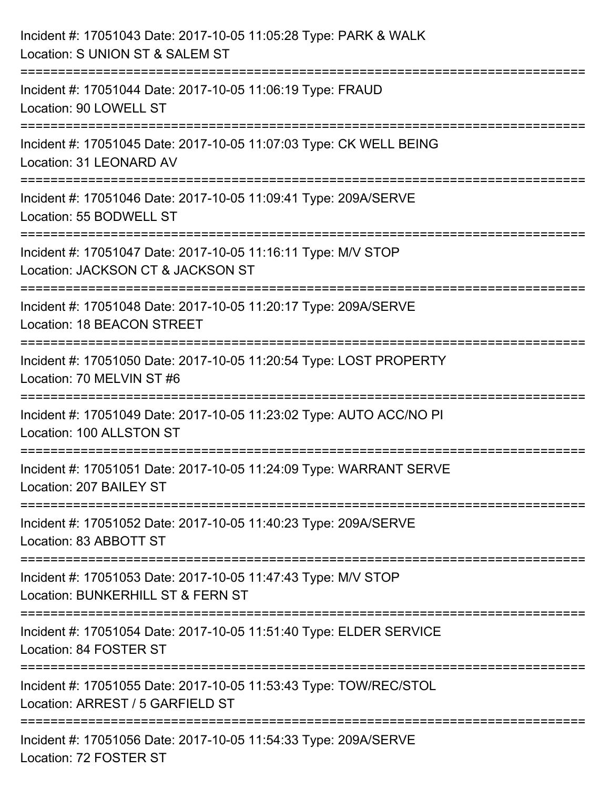| Incident #: 17051043 Date: 2017-10-05 11:05:28 Type: PARK & WALK<br>Location: S UNION ST & SALEM ST                                 |
|-------------------------------------------------------------------------------------------------------------------------------------|
| Incident #: 17051044 Date: 2017-10-05 11:06:19 Type: FRAUD<br>Location: 90 LOWELL ST                                                |
| Incident #: 17051045 Date: 2017-10-05 11:07:03 Type: CK WELL BEING<br>Location: 31 LEONARD AV<br>================================== |
| Incident #: 17051046 Date: 2017-10-05 11:09:41 Type: 209A/SERVE<br>Location: 55 BODWELL ST                                          |
| Incident #: 17051047 Date: 2017-10-05 11:16:11 Type: M/V STOP<br>Location: JACKSON CT & JACKSON ST                                  |
| Incident #: 17051048 Date: 2017-10-05 11:20:17 Type: 209A/SERVE<br>Location: 18 BEACON STREET                                       |
| :====================<br>Incident #: 17051050 Date: 2017-10-05 11:20:54 Type: LOST PROPERTY<br>Location: 70 MELVIN ST #6            |
| Incident #: 17051049 Date: 2017-10-05 11:23:02 Type: AUTO ACC/NO PI<br>Location: 100 ALLSTON ST                                     |
| Incident #: 17051051 Date: 2017-10-05 11:24:09 Type: WARRANT SERVE<br>Location: 207 BAILEY ST                                       |
| Incident #: 17051052 Date: 2017-10-05 11:40:23 Type: 209A/SERVE<br>Location: 83 ABBOTT ST                                           |
| Incident #: 17051053 Date: 2017-10-05 11:47:43 Type: M/V STOP<br>Location: BUNKERHILL ST & FERN ST                                  |
| Incident #: 17051054 Date: 2017-10-05 11:51:40 Type: ELDER SERVICE<br>Location: 84 FOSTER ST                                        |
| Incident #: 17051055 Date: 2017-10-05 11:53:43 Type: TOW/REC/STOL<br>Location: ARREST / 5 GARFIELD ST                               |
| Incident #: 17051056 Date: 2017-10-05 11:54:33 Type: 209A/SERVE<br>Location: 72 FOSTER ST                                           |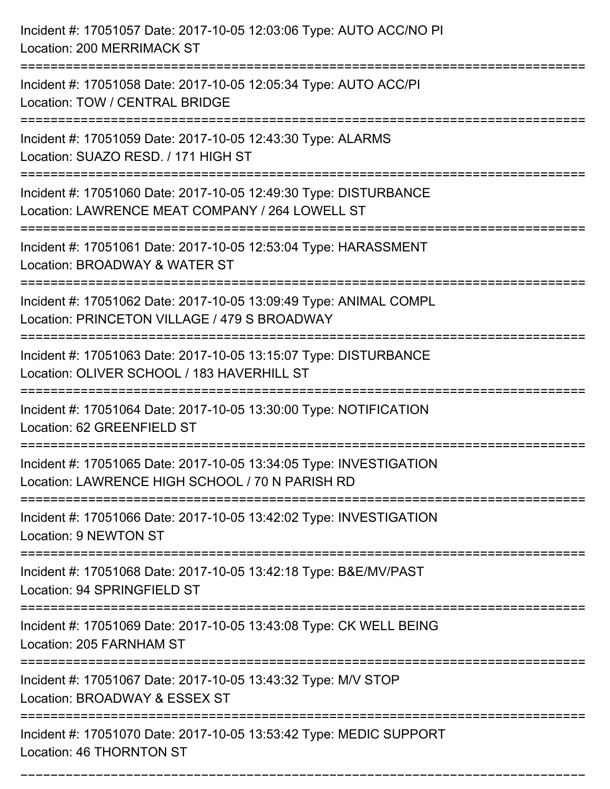| Incident #: 17051057 Date: 2017-10-05 12:03:06 Type: AUTO ACC/NO PI<br>Location: 200 MERRIMACK ST                             |
|-------------------------------------------------------------------------------------------------------------------------------|
| Incident #: 17051058 Date: 2017-10-05 12:05:34 Type: AUTO ACC/PI<br>Location: TOW / CENTRAL BRIDGE                            |
| Incident #: 17051059 Date: 2017-10-05 12:43:30 Type: ALARMS<br>Location: SUAZO RESD. / 171 HIGH ST<br>======================= |
| Incident #: 17051060 Date: 2017-10-05 12:49:30 Type: DISTURBANCE<br>Location: LAWRENCE MEAT COMPANY / 264 LOWELL ST           |
| Incident #: 17051061 Date: 2017-10-05 12:53:04 Type: HARASSMENT<br>Location: BROADWAY & WATER ST                              |
| Incident #: 17051062 Date: 2017-10-05 13:09:49 Type: ANIMAL COMPL<br>Location: PRINCETON VILLAGE / 479 S BROADWAY             |
| Incident #: 17051063 Date: 2017-10-05 13:15:07 Type: DISTURBANCE<br>Location: OLIVER SCHOOL / 183 HAVERHILL ST                |
| Incident #: 17051064 Date: 2017-10-05 13:30:00 Type: NOTIFICATION<br>Location: 62 GREENFIELD ST                               |
| Incident #: 17051065 Date: 2017-10-05 13:34:05 Type: INVESTIGATION<br>Location: LAWRENCE HIGH SCHOOL / 70 N PARISH RD         |
| Incident #: 17051066 Date: 2017-10-05 13:42:02 Type: INVESTIGATION<br>Location: 9 NEWTON ST                                   |
| Incident #: 17051068 Date: 2017-10-05 13:42:18 Type: B&E/MV/PAST<br>Location: 94 SPRINGFIELD ST                               |
| Incident #: 17051069 Date: 2017-10-05 13:43:08 Type: CK WELL BEING<br>Location: 205 FARNHAM ST                                |
| Incident #: 17051067 Date: 2017-10-05 13:43:32 Type: M/V STOP<br>Location: BROADWAY & ESSEX ST                                |
| Incident #: 17051070 Date: 2017-10-05 13:53:42 Type: MEDIC SUPPORT<br>Location: 46 THORNTON ST                                |

===========================================================================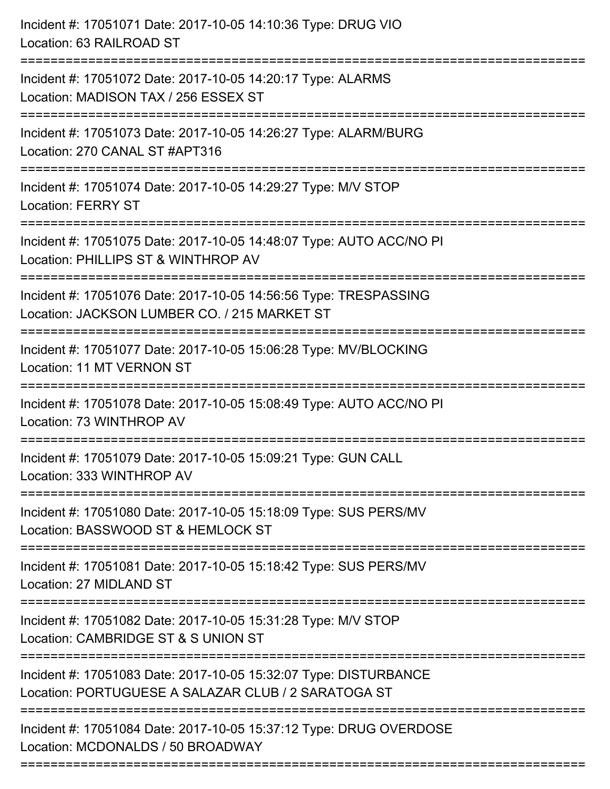| Incident #: 17051071 Date: 2017-10-05 14:10:36 Type: DRUG VIO<br>Location: 63 RAILROAD ST                                             |
|---------------------------------------------------------------------------------------------------------------------------------------|
| Incident #: 17051072 Date: 2017-10-05 14:20:17 Type: ALARMS<br>Location: MADISON TAX / 256 ESSEX ST                                   |
| Incident #: 17051073 Date: 2017-10-05 14:26:27 Type: ALARM/BURG<br>Location: 270 CANAL ST #APT316<br>:===================             |
| Incident #: 17051074 Date: 2017-10-05 14:29:27 Type: M/V STOP<br><b>Location: FERRY ST</b>                                            |
| Incident #: 17051075 Date: 2017-10-05 14:48:07 Type: AUTO ACC/NO PI<br>Location: PHILLIPS ST & WINTHROP AV                            |
| Incident #: 17051076 Date: 2017-10-05 14:56:56 Type: TRESPASSING<br>Location: JACKSON LUMBER CO. / 215 MARKET ST                      |
| Incident #: 17051077 Date: 2017-10-05 15:06:28 Type: MV/BLOCKING<br>Location: 11 MT VERNON ST                                         |
| Incident #: 17051078 Date: 2017-10-05 15:08:49 Type: AUTO ACC/NO PI<br>Location: 73 WINTHROP AV                                       |
| Incident #: 17051079 Date: 2017-10-05 15:09:21 Type: GUN CALL<br>Location: 333 WINTHROP AV                                            |
| Incident #: 17051080 Date: 2017-10-05 15:18:09 Type: SUS PERS/MV<br>Location: BASSWOOD ST & HEMLOCK ST                                |
| Incident #: 17051081 Date: 2017-10-05 15:18:42 Type: SUS PERS/MV<br>Location: 27 MIDLAND ST                                           |
| Incident #: 17051082 Date: 2017-10-05 15:31:28 Type: M/V STOP<br>Location: CAMBRIDGE ST & S UNION ST                                  |
| Incident #: 17051083 Date: 2017-10-05 15:32:07 Type: DISTURBANCE<br>Location: PORTUGUESE A SALAZAR CLUB / 2 SARATOGA ST               |
| ==========================<br>Incident #: 17051084 Date: 2017-10-05 15:37:12 Type: DRUG OVERDOSE<br>Location: MCDONALDS / 50 BROADWAY |
|                                                                                                                                       |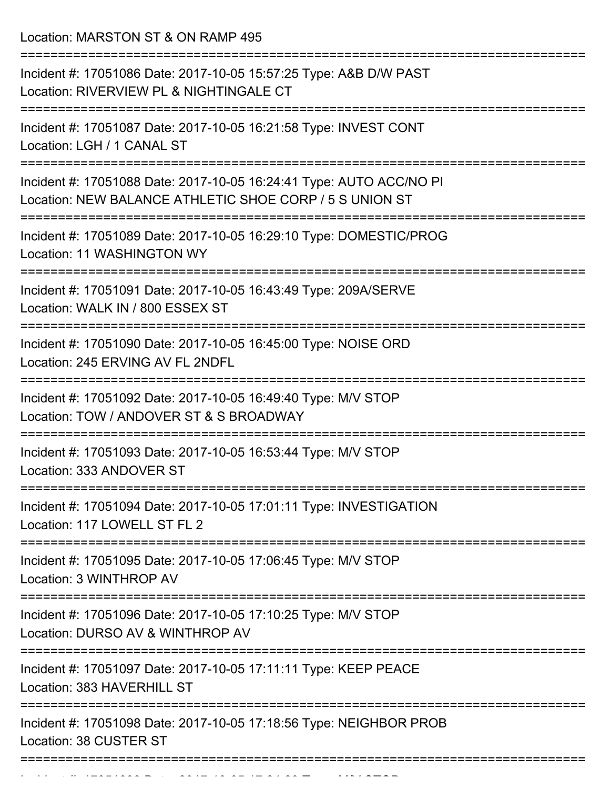Location: MARSTON ST & ON RAMP 495

| Incident #: 17051086 Date: 2017-10-05 15:57:25 Type: A&B D/W PAST<br>Location: RIVERVIEW PL & NIGHTINGALE CT                   |
|--------------------------------------------------------------------------------------------------------------------------------|
| Incident #: 17051087 Date: 2017-10-05 16:21:58 Type: INVEST CONT<br>Location: LGH / 1 CANAL ST                                 |
| Incident #: 17051088 Date: 2017-10-05 16:24:41 Type: AUTO ACC/NO PI<br>Location: NEW BALANCE ATHLETIC SHOE CORP / 5 S UNION ST |
| Incident #: 17051089 Date: 2017-10-05 16:29:10 Type: DOMESTIC/PROG<br>Location: 11 WASHINGTON WY                               |
| Incident #: 17051091 Date: 2017-10-05 16:43:49 Type: 209A/SERVE<br>Location: WALK IN / 800 ESSEX ST                            |
| Incident #: 17051090 Date: 2017-10-05 16:45:00 Type: NOISE ORD<br>Location: 245 ERVING AV FL 2NDFL                             |
| Incident #: 17051092 Date: 2017-10-05 16:49:40 Type: M/V STOP<br>Location: TOW / ANDOVER ST & S BROADWAY                       |
| Incident #: 17051093 Date: 2017-10-05 16:53:44 Type: M/V STOP<br>Location: 333 ANDOVER ST                                      |
| Incident #: 17051094 Date: 2017-10-05 17:01:11 Type: INVESTIGATION<br>Location: 117 LOWELL ST FL 2                             |
| :==============<br>===============<br>Incident #: 17051095 Date: 2017-10-05 17:06:45 Type: M/V STOP<br>Location: 3 WINTHROP AV |
| Incident #: 17051096 Date: 2017-10-05 17:10:25 Type: M/V STOP<br>Location: DURSO AV & WINTHROP AV                              |
| Incident #: 17051097 Date: 2017-10-05 17:11:11 Type: KEEP PEACE<br>Location: 383 HAVERHILL ST                                  |
| Incident #: 17051098 Date: 2017-10-05 17:18:56 Type: NEIGHBOR PROB<br>Location: 38 CUSTER ST                                   |
|                                                                                                                                |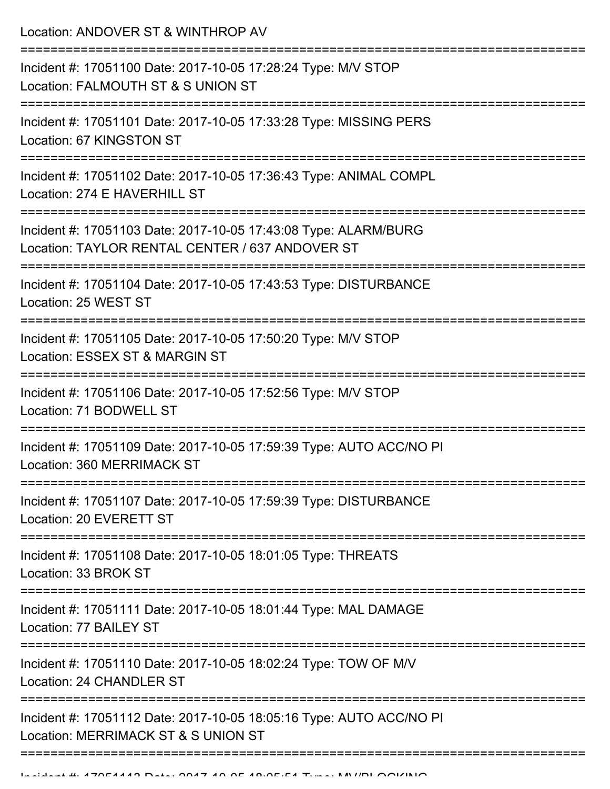Location: ANDOVER ST & WINTHROP AV

| Incident #: 17051100 Date: 2017-10-05 17:28:24 Type: M/V STOP<br>Location: FALMOUTH ST & S UNION ST                |
|--------------------------------------------------------------------------------------------------------------------|
| Incident #: 17051101 Date: 2017-10-05 17:33:28 Type: MISSING PERS<br>Location: 67 KINGSTON ST                      |
| Incident #: 17051102 Date: 2017-10-05 17:36:43 Type: ANIMAL COMPL<br>Location: 274 E HAVERHILL ST                  |
| Incident #: 17051103 Date: 2017-10-05 17:43:08 Type: ALARM/BURG<br>Location: TAYLOR RENTAL CENTER / 637 ANDOVER ST |
| Incident #: 17051104 Date: 2017-10-05 17:43:53 Type: DISTURBANCE<br>Location: 25 WEST ST                           |
| Incident #: 17051105 Date: 2017-10-05 17:50:20 Type: M/V STOP<br>Location: ESSEX ST & MARGIN ST                    |
| Incident #: 17051106 Date: 2017-10-05 17:52:56 Type: M/V STOP<br>Location: 71 BODWELL ST                           |
| Incident #: 17051109 Date: 2017-10-05 17:59:39 Type: AUTO ACC/NO PI<br>Location: 360 MERRIMACK ST                  |
| Incident #: 17051107 Date: 2017-10-05 17:59:39 Type: DISTURBANCE<br>Location: 20 EVERETT ST                        |
| Incident #: 17051108 Date: 2017-10-05 18:01:05 Type: THREATS<br>Location: 33 BROK ST                               |
| Incident #: 17051111 Date: 2017-10-05 18:01:44 Type: MAL DAMAGE<br>Location: 77 BAILEY ST                          |
| Incident #: 17051110 Date: 2017-10-05 18:02:24 Type: TOW OF M/V<br>Location: 24 CHANDLER ST                        |
| Incident #: 17051112 Date: 2017-10-05 18:05:16 Type: AUTO ACC/NO PI<br>Location: MERRIMACK ST & S UNION ST         |
|                                                                                                                    |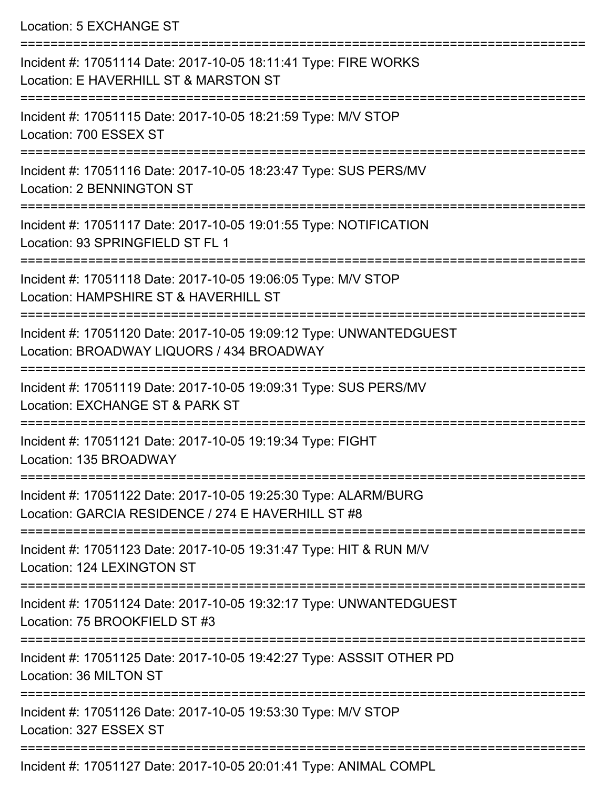Location: 5 EXCHANGE ST

| Incident #: 17051114 Date: 2017-10-05 18:11:41 Type: FIRE WORKS<br>Location: E HAVERHILL ST & MARSTON ST              |
|-----------------------------------------------------------------------------------------------------------------------|
| Incident #: 17051115 Date: 2017-10-05 18:21:59 Type: M/V STOP<br>Location: 700 ESSEX ST                               |
| Incident #: 17051116 Date: 2017-10-05 18:23:47 Type: SUS PERS/MV<br><b>Location: 2 BENNINGTON ST</b>                  |
| Incident #: 17051117 Date: 2017-10-05 19:01:55 Type: NOTIFICATION<br>Location: 93 SPRINGFIELD ST FL 1                 |
| Incident #: 17051118 Date: 2017-10-05 19:06:05 Type: M/V STOP<br>Location: HAMPSHIRE ST & HAVERHILL ST                |
| Incident #: 17051120 Date: 2017-10-05 19:09:12 Type: UNWANTEDGUEST<br>Location: BROADWAY LIQUORS / 434 BROADWAY       |
| Incident #: 17051119 Date: 2017-10-05 19:09:31 Type: SUS PERS/MV<br>Location: EXCHANGE ST & PARK ST                   |
| Incident #: 17051121 Date: 2017-10-05 19:19:34 Type: FIGHT<br>Location: 135 BROADWAY                                  |
| Incident #: 17051122 Date: 2017-10-05 19:25:30 Type: ALARM/BURG<br>Location: GARCIA RESIDENCE / 274 E HAVERHILL ST #8 |
| Incident #: 17051123 Date: 2017-10-05 19:31:47 Type: HIT & RUN M/V<br>Location: 124 LEXINGTON ST                      |
| Incident #: 17051124 Date: 2017-10-05 19:32:17 Type: UNWANTEDGUEST<br>Location: 75 BROOKFIELD ST #3                   |
| Incident #: 17051125 Date: 2017-10-05 19:42:27 Type: ASSSIT OTHER PD<br>Location: 36 MILTON ST                        |
| Incident #: 17051126 Date: 2017-10-05 19:53:30 Type: M/V STOP<br>Location: 327 ESSEX ST                               |
| Incident #: 17051127 Date: 2017-10-05 20:01:41 Type: ANIMAL COMPL                                                     |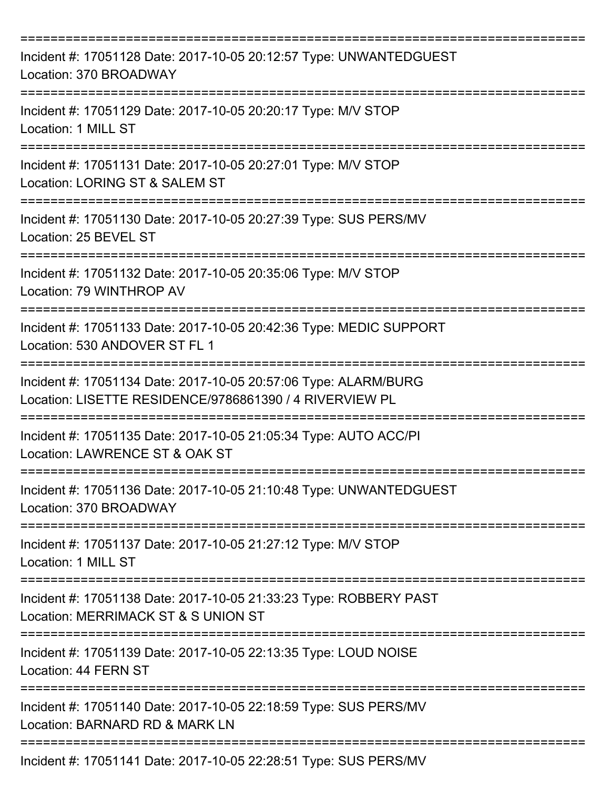| Incident #: 17051128 Date: 2017-10-05 20:12:57 Type: UNWANTEDGUEST<br>Location: 370 BROADWAY                               |
|----------------------------------------------------------------------------------------------------------------------------|
| Incident #: 17051129 Date: 2017-10-05 20:20:17 Type: M/V STOP<br>Location: 1 MILL ST                                       |
| Incident #: 17051131 Date: 2017-10-05 20:27:01 Type: M/V STOP<br>Location: LORING ST & SALEM ST                            |
| Incident #: 17051130 Date: 2017-10-05 20:27:39 Type: SUS PERS/MV<br>Location: 25 BEVEL ST                                  |
| Incident #: 17051132 Date: 2017-10-05 20:35:06 Type: M/V STOP<br>Location: 79 WINTHROP AV                                  |
| Incident #: 17051133 Date: 2017-10-05 20:42:36 Type: MEDIC SUPPORT<br>Location: 530 ANDOVER ST FL 1                        |
| Incident #: 17051134 Date: 2017-10-05 20:57:06 Type: ALARM/BURG<br>Location: LISETTE RESIDENCE/9786861390 / 4 RIVERVIEW PL |
| Incident #: 17051135 Date: 2017-10-05 21:05:34 Type: AUTO ACC/PI<br>Location: LAWRENCE ST & OAK ST                         |
| Incident #: 17051136 Date: 2017-10-05 21:10:48 Type: UNWANTEDGUEST<br>Location: 370 BROADWAY                               |
| Incident #: 17051137 Date: 2017-10-05 21:27:12 Type: M/V STOP<br>Location: 1 MILL ST                                       |
| Incident #: 17051138 Date: 2017-10-05 21:33:23 Type: ROBBERY PAST<br>Location: MERRIMACK ST & S UNION ST                   |
| Incident #: 17051139 Date: 2017-10-05 22:13:35 Type: LOUD NOISE<br>Location: 44 FERN ST                                    |
| Incident #: 17051140 Date: 2017-10-05 22:18:59 Type: SUS PERS/MV<br>Location: BARNARD RD & MARK LN                         |
| Incident #: 17051141 Date: 2017-10-05 22:28:51 Type: SUS PERS/MV                                                           |